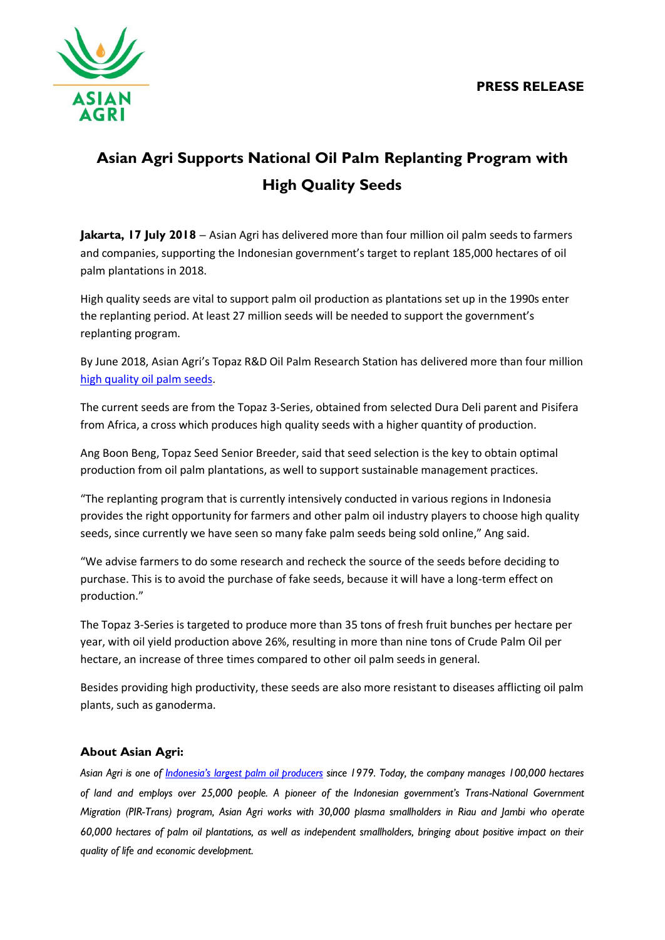

## **Asian Agri Supports National Oil Palm Replanting Program with High Quality Seeds**

**Jakarta, 17 July 2018** – Asian Agri has delivered more than four million oil palm seeds to farmers and companies, supporting the Indonesian government's target to replant 185,000 hectares of oil palm plantations in 2018.

High quality seeds are vital to support palm oil production as plantations set up in the 1990s enter the replanting period. At least 27 million seeds will be needed to support the government's replanting program.

By June 2018, Asian Agri's Topaz R&D Oil Palm Research Station has delivered more than four million [high quality oil palm seeds.](http://www.asianagri.com/en/medias/media/articles/topaz-quality-seeds-of-asian-agri)

The current seeds are from the Topaz 3-Series, obtained from selected Dura Deli parent and Pisifera from Africa, a cross which produces high quality seeds with a higher quantity of production.

Ang Boon Beng, Topaz Seed Senior Breeder, said that seed selection is the key to obtain optimal production from oil palm plantations, as well to support sustainable management practices.

"The replanting program that is currently intensively conducted in various regions in Indonesia provides the right opportunity for farmers and other palm oil industry players to choose high quality seeds, since currently we have seen so many fake palm seeds being sold online," Ang said.

"We advise farmers to do some research and recheck the source of the seeds before deciding to purchase. This is to avoid the purchase of fake seeds, because it will have a long-term effect on production."

The Topaz 3-Series is targeted to produce more than 35 tons of fresh fruit bunches per hectare per year, with oil yield production above 26%, resulting in more than nine tons of Crude Palm Oil per hectare, an increase of three times compared to other oil palm seeds in general.

Besides providing high productivity, these seeds are also more resistant to diseases afflicting oil palm plants, such as ganoderma.

## **About Asian Agri:**

*Asian Agri is one of [Indonesia's largest palm oil producers](http://www.asianagri.com/en/) since 1979. Today, the company manages 100,000 hectares of land and employs over 25,000 people. A pioneer of the Indonesian government's Trans-National Government Migration (PIR-Trans) program, Asian Agri works with 30,000 plasma smallholders in Riau and Jambi who operate 60,000 hectares of palm oil plantations, as well as independent smallholders, bringing about positive impact on their quality of life and economic development.*